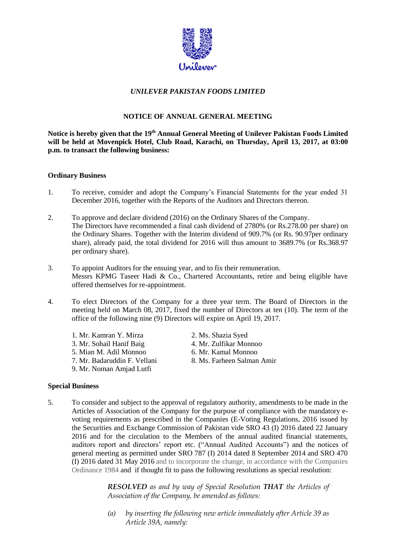

# *UNILEVER PAKISTAN FOODS LIMITED*

# **NOTICE OF ANNUAL GENERAL MEETING**

 **will be held at Movenpick Hotel, Club Road, Karachi, on Thursday, April 13, 2017, at 03:00 p.m. to transact the following business: Ordinary Business**  Notice is hereby given that the 19<sup>th</sup> Annual General Meeting of Unilever Pakistan Foods Limited

- 1. To receive, consider and adopt the Company's Financial Statements for the year ended 31 December 2016, together with the Reports of the Auditors and Directors thereon.
- 2. To approve and declare dividend (2016) on the Ordinary Shares of the Company. The Directors have recommended a final cash dividend of 2780% (or Rs.278.00 per share) on the Ordinary Shares. Together with the Interim dividend of 909.7% (or Rs. 90.97per ordinary share), already paid, the total dividend for 2016 will thus amount to 3689.7% (or Rs.368.97 per ordinary share).
- Messrs KPMG Taseer Hadi & Co., Chartered Accountants, retire and being eligible have offered themselves for re-appointment. 3. To appoint Auditors for the ensuing year, and to fix their remuneration.
- 4. To elect Directors of the Company for a three year term. The Board of Directors in the meeting held on March 08, 2017, fixed the number of Directors at ten (10). The term of the office of the following nine (9) Directors will expire on April 19, 2017.

| 1. Mr. Kamran Y. Mirza       | 2. Ms. Shazia Syed         |
|------------------------------|----------------------------|
| 3. Mr. Sohail Hanif Baig     | 4. Mr. Zulfikar Monnoo     |
| 5. Mian M. Adil Monnoo       | 6. Mr. Kamal Monnoo        |
| 7. Mr. Badaruddin F. Vellani | 8. Ms. Farheen Salman Amir |
| 9. Mr. Noman Amjad Lutfi     |                            |

#### **Special Business**

 Articles of Association of the Company for the purpose of compliance with the mandatory e- voting requirements as prescribed in the Companies (E-Voting Regulations, 2016 issued by the Securities and Exchange Commission of Pakistan vide SRO 43 (I) 2016 dated 22 January 2016 and for the circulation to the Members of the annual audited financial statements, auditors report and directors' report etc. ("Annual Audited Accounts") and the notices of general meeting as permitted under SRO 787 (I) 2014 dated 8 September 2014 and SRO 470 (I) 2016 dated 31 May 2016 and to incorporate the change, in accordance with the Companies Ordinance 1984 and if thought fit to pass the following resolutions as special resolution: 5. To consider and subject to the approval of regulatory authority, amendments to be made in the

> *RESOLVED as and by way of Special Resolution THAT the Articles of Association of the Company, be amended as follows:*

> *(a) by inserting the following new article immediately after Article 39 as Article 39A, namely:*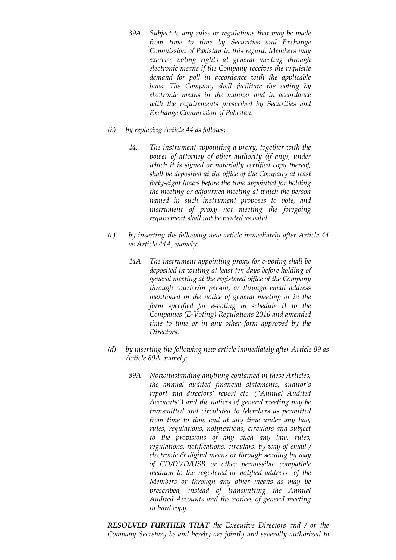- *39A. Subject to any rules or regulations that may be made Commission of Pakistan in this regard, Members may exercise voting rights at general meeting through electronic means if the Company receives the requisite with the requirements prescribed by Securities and from time to time by Securities and Exchange demand for poll in accordance with the applicable laws. The Company shall facilitate the voting by electronic means in the manner and in accordance Exchange Commission of Pakistan.*
- *(b) by replacing Article 44 as follows:* 
	- *44. The instrument appointing a proxy, together with the power of attorney of other authority (if any), under which it is signed or notarially certified copy thereof, shall be deposited at the office of the Company at least forty-eight hours before the time appointed for holding instrument of proxy not meeting the foregoing the meeting or adjourned meeting at which the person named in such instrument proposes to vote, and requirement shall not be treated as valid.*
- $(c)$  *as Article 44A, namely:*  by inserting the following new article immediately after Article 44
	- *44A. The instrument appointing proxy for e-voting shall be deposited in writing at least ten days before holding of through courier/in person, or through email address mentioned in the notice of general meeting or in the time to time or in any other form approved by the general meeting at the registered office of the Company form specified for e-voting in schedule II to the Companies (E-Voting) Regulations 2016 and amended Directors.*
- *(d) by inserting the following new article immediately after Article 89 as Article 89A, namely:* 
	- *report and directors' report etc. ("Annual Audited Accounts") and the notices of general meeting nay be transmitted and circulated to Members as permitted regulations, notifications, circulars, by way of email / electronic & digital means or through sending by way of CD/DVD/USB or other permissible compatible medium to the registered or notified address of the Members or through any other means as may be Audited Accounts and the notices of general meeting 89A. Notwithstanding anything contained in these Articles, the annual audited financial statements, auditor's from time to time and at any time under any law, rules, regulations, notifications, circulars and subject to the provisions of any such any law, rules, prescribed, instead of transmitting the Annual in hard copy.*

 *RESOLVED FURTHER THAT the Executive Directors and / or the Company Secretary be and hereby are jointly and severally authorized to*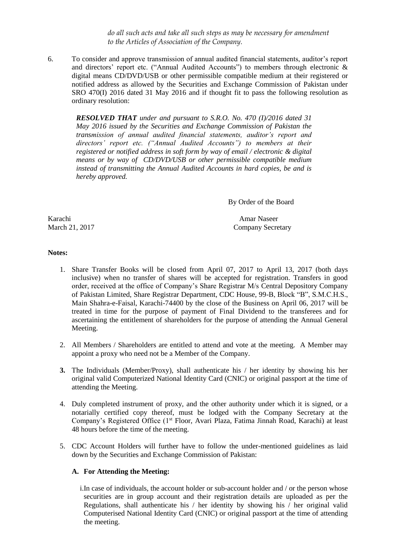*do all such acts and take all such steps as may be necessary for amendment to the Articles of Association of the Company.* 

 6. To consider and approve transmission of annual audited financial statements, auditor's report and directors' report etc. ("Annual Audited Accounts") to members through electronic & digital means CD/DVD/USB or other permissible compatible medium at their registered or notified address as allowed by the Securities and Exchange Commission of Pakistan under SRO 470(I) 2016 dated 31 May 2016 and if thought fit to pass the following resolution as ordinary resolution:

 *RESOLVED THAT under and pursuant to S.R.O. No. 470 (I)/2016 dated 31 transmission of annual audited financial statements, auditor's report and directors' report etc. ("Annual Audited Accounts") to members at their registered or notified address in soft form by way of email / electronic & digital means or by way of CD/DVD/USB or other permissible compatible medium May 2016 issued by the Securities and Exchange Commission of Pakistan the instead of transmitting the Annual Audited Accounts in hard copies, be and is hereby approved.* 

By Order of the Board

March 21, 2017 Karachi Amar Naseer

Company Secretary

#### **Notes:**

- 1. Share Transfer Books will be closed from April 07, 2017 to April 13, 2017 (both days inclusive) when no transfer of shares will be accepted for registration. Transfers in good order, received at the office of Company's Share Registrar M/s Central Depository Company of Pakistan Limited, Share Registrar Department, CDC House, 99-B, Block "B", S.M.C.H.S., Main Shahra-e-Faisal, Karachi-74400 by the close of the Business on April 06, 2017 will be treated in time for the purpose of payment of Final Dividend to the transferees and for ascertaining the entitlement of shareholders for the purpose of attending the Annual General Meeting.
- Meeting.<br>2. All Members / Shareholders are entitled to attend and vote at the meeting. A Member may appoint a proxy who need not be a Member of the Company.
- **3.** The Individuals (Member/Proxy), shall authenticate his / her identity by showing his her original valid Computerized National Identity Card (CNIC) or original passport at the time of attending the Meeting.
- 4. Duly completed instrument of proxy, and the other authority under which it is signed, or a notarially certified copy thereof, must be lodged with the Company Secretary at the Company's Registered Office (1<sup>st</sup> Floor, Avari Plaza, Fatima Jinnah Road, Karachi) at least 48 hours before the time of the meeting.
- 5. CDC Account Holders will further have to follow the under-mentioned guidelines as laid down by the Securities and Exchange Commission of Pakistan:

#### **A. For Attending the Meeting:**

 i.In case of individuals, the account holder or sub-account holder and / or the person whose securities are in group account and their registration details are uploaded as per the Regulations, shall authenticate his / her identity by showing his / her original valid Computerised National Identity Card (CNIC) or original passport at the time of attending the meeting.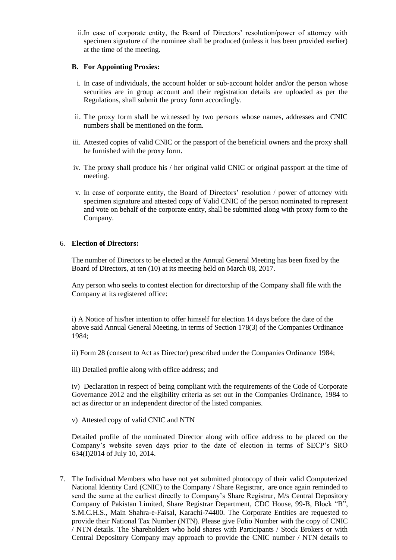ii.In case of corporate entity, the Board of Directors' resolution/power of attorney with specimen signature of the nominee shall be produced (unless it has been provided earlier) at the time of the meeting.

### **B. For Appointing Proxies:**

- i. In case of individuals, the account holder or sub-account holder and/or the person whose securities are in group account and their registration details are uploaded as per the Regulations, shall submit the proxy form accordingly.
- ii. The proxy form shall be witnessed by two persons whose names, addresses and CNIC numbers shall be mentioned on the form.
- iii. Attested copies of valid CNIC or the passport of the beneficial owners and the proxy shall be furnished with the proxy form.
- iv. The proxy shall produce his / her original valid CNIC or original passport at the time of meeting.
- v. In case of corporate entity, the Board of Directors' resolution / power of attorney with specimen signature and attested copy of Valid CNIC of the person nominated to represent and vote on behalf of the corporate entity, shall be submitted along with proxy form to the Company.

#### 6. **Election of Directors:**

 Board of Directors, at ten (10) at its meeting held on March 08, 2017. The number of Directors to be elected at the Annual General Meeting has been fixed by the

Company at its registered office: Any person who seeks to contest election for directorship of the Company shall file with the

Company at its registered office:<br>i) A Notice of his/her intention to offer himself for election 14 days before the date of the above said Annual General Meeting, in terms of Section 178(3) of the Companies Ordinance 1984;

ii) Form 28 (consent to Act as Director) prescribed under the Companies Ordinance 1984;

iii) Detailed profile along with office address; and

 iv) Declaration in respect of being compliant with the requirements of the Code of Corporate Governance 2012 and the eligibility criteria as set out in the Companies Ordinance, 1984 to act as director or an independent director of the listed companies.

v) Attested copy of valid CNIC and NTN

 Detailed profile of the nominated Director along with office address to be placed on the Company's website seven days prior to the date of election in terms of SECP's SRO 634(I)2014 of July 10, 2014.

7. The Individual Members who have not yet submitted photocopy of their valid Computerized National Identity Card (CNIC) to the Company / Share Registrar, are once again reminded to send the same at the earliest directly to Company's Share Registrar, M/s Central Depository Company of Pakistan Limited, Share Registrar Department, CDC House, 99-B, Block "B", provide their National Tax Number (NTN). Please give Folio Number with the copy of CNIC / NTN details. The Shareholders who hold shares with Participants / Stock Brokers or with Central Depository Company may approach to provide the CNIC number / NTN details to S.M.C.H.S., Main Shahra-e-Faisal, Karachi-74400. The Corporate Entities are requested to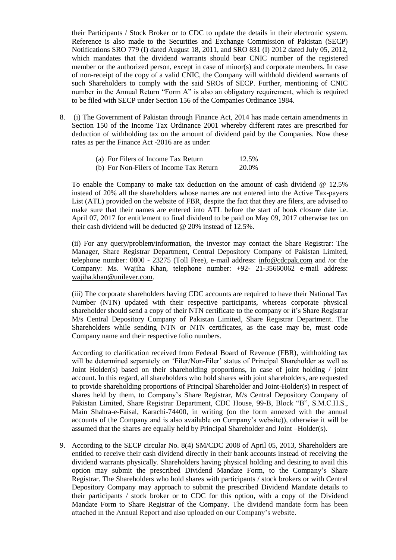their Participants / Stock Broker or to CDC to update the details in their electronic system. Reference is also made to the Securities and Exchange Commission of Pakistan (SECP) Notifications SRO 779 (I) dated August 18, 2011, and SRO 831 (I) 2012 dated July 05, 2012, which mandates that the dividend warrants should bear CNIC number of the registered member or the authorized person, except in case of minor(s) and corporate members. In case of non-receipt of the copy of a valid CNIC, the Company will withhold dividend warrants of such Shareholders to comply with the said SROs of SECP. Further, mentioning of CNIC number in the Annual Return "Form A" is also an obligatory requirement, which is required to be filed with SECP under Section 156 of the Companies Ordinance 1984.

 8. (i) The Government of Pakistan through Finance Act, 2014 has made certain amendments in Section 150 of the Income Tax Ordinance 2001 whereby different rates are prescribed for deduction of withholding tax on the amount of dividend paid by the Companies. Now these rates as per the Finance Act -2016 are as under:

| (a) For Filers of Income Tax Return     | 12.5% |
|-----------------------------------------|-------|
| (b) For Non-Filers of Income Tax Return | 20.0% |

 To enable the Company to make tax deduction on the amount of cash dividend @ 12.5% instead of 20% all the shareholders whose names are not entered into the Active Tax-payers List (ATL) provided on the website of FBR, despite the fact that they are filers, are advised to make sure that their names are entered into ATL before the start of book closure date i.e. April 07, 2017 for entitlement to final dividend to be paid on May 09, 2017 otherwise tax on their cash dividend will be deducted @ 20% instead of 12.5%.

 (ii) For any query/problem/information, the investor may contact the Share Registrar: The Manager, Share Registrar Department, Central Depository Company of Pakistan Limited, telephone number: 0800 - 23275 (Toll Free), e-mail address: [info@cdcpak.com](mailto:info@cdcpak.com) and /or the Company: Ms. Wajiha Khan, telephone number: +92- 21-35660062 e-mail address: [wajiha.khan@unilever.com.](mailto:wajiha.khan@unilever.com)

 (iii) The corporate shareholders having CDC accounts are required to have their National Tax Number (NTN) updated with their respective participants, whereas corporate physical shareholder should send a copy of their NTN certificate to the company or it's Share Registrar M/s Central Depository Company of Pakistan Limited, Share Registrar Department. The Shareholders while sending NTN or NTN certificates, as the case may be, must code Company name and their respective folio numbers.

 According to clarification received from Federal Board of Revenue (FBR), withholding tax will be determined separately on 'Filer/Non-Filer' status of Principal Shareholder as well as Joint Holder(s) based on their shareholding proportions, in case of joint holding / joint to provide shareholding proportions of Principal Shareholder and Joint-Holder(s) in respect of shares held by them, to Company's Share Registrar, M/s Central Depository Company of Main Shahra-e-Faisal, Karachi-74400, in writing (on the form annexed with the annual accounts of the Company and is also available on Company's website)), otherwise it will be assumed that the shares are equally held by Principal Shareholder and Joint –Holder(s). account. In this regard, all shareholders who hold shares with joint shareholders, are requested Pakistan Limited, Share Registrar Department, CDC House, 99-B, Block "B", S.M.C.H.S.,

9. According to the SECP circular No. 8(4) SM/CDC 2008 of April 05, 2013, Shareholders are entitled to receive their cash dividend directly in their bank accounts instead of receiving the dividend warrants physically. Shareholders having physical holding and desiring to avail this option may submit the prescribed Dividend Mandate Form, to the Company's Share Registrar. The Shareholders who hold shares with participants / stock brokers or with Central Depository Company may approach to submit the prescribed Dividend Mandate details to their participants / stock broker or to CDC for this option, with a copy of the Dividend Mandate Form to Share Registrar of the Company. The dividend mandate form has been attached in the Annual Report and also uploaded on our Company's website.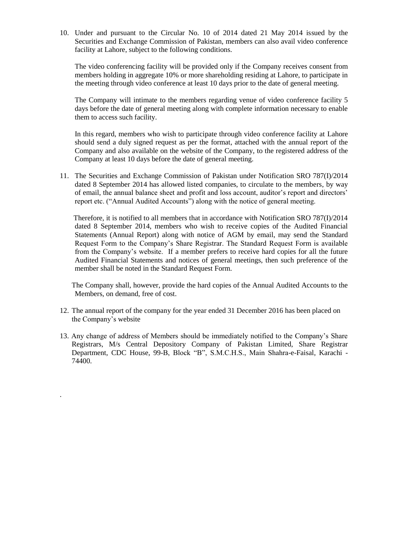10. Under and pursuant to the Circular No. 10 of 2014 dated 21 May 2014 issued by the Securities and Exchange Commission of Pakistan, members can also avail video conference facility at Lahore, subject to the following conditions.

 The video conferencing facility will be provided only if the Company receives consent from the meeting through video conference at least 10 days prior to the date of general meeting. members holding in aggregate 10% or more shareholding residing at Lahore, to participate in

 The Company will intimate to the members regarding venue of video conference facility 5 days before the date of general meeting along with complete information necessary to enable them to access such facility.

 In this regard, members who wish to participate through video conference facility at Lahore should send a duly signed request as per the format, attached with the annual report of the Company and also available on the website of the Company, to the registered address of the Company at least 10 days before the date of general meeting.

11. The Securities and Exchange Commission of Pakistan under Notification SRO 787(I)/2014 dated 8 September 2014 has allowed listed companies, to circulate to the members, by way of email, the annual balance sheet and profit and loss account, auditor's report and directors' report etc. ("Annual Audited Accounts") along with the notice of general meeting.

 Therefore, it is notified to all members that in accordance with Notification SRO 787(I)/2014 dated 8 September 2014, members who wish to receive copies of the Audited Financial Statements (Annual Report) along with notice of AGM by email, may send the Standard Request Form to the Company's Share Registrar. The Standard Request Form is available from the Company's website. If a member prefers to receive hard copies for all the future Audited Financial Statements and notices of general meetings, then such preference of the member shall be noted in the Standard Request Form.

 The Company shall, however, provide the hard copies of the Annual Audited Accounts to the Members, on demand, free of cost.

- 12. The annual report of the company for the year ended 31 December 2016 has been placed on the Company's website
- 13. Any change of address of Members should be immediately notified to the Company's Share Registrars, M/s Central Depository Company of Pakistan Limited, Share Registrar Department, CDC House, 99-B, Block "B", S.M.C.H.S., Main Shahra-e-Faisal, Karachi - 74400.

.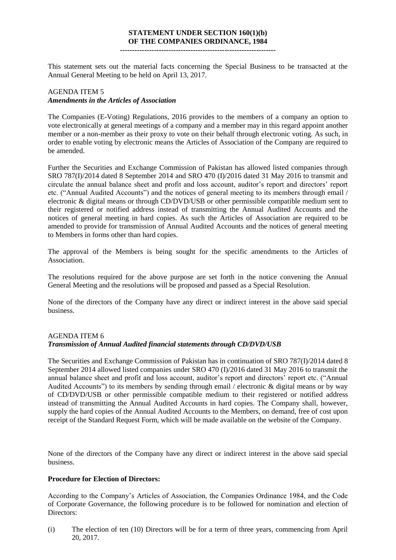# **STATEMENT UNDER SECTION 160(1)(b) OF THE COMPANIES ORDINANCE, 1984**

**----------------------------------------------------------------**

 This statement sets out the material facts concerning the Special Business to be transacted at the Annual General Meeting to be held on April 13, 2017.

# AGENDA ITEM 5 *Amendments in the Articles of Association*

 The Companies (E-Voting) Regulations, 2016 provides to the members of a company an option to vote electronically at general meetings of a company and a member may in this regard appoint another member or a non-member as their proxy to vote on their behalf through electronic voting. As such, in order to enable voting by electronic means the Articles of Association of the Company are required to be amended.

 Further the Securities and Exchange Commission of Pakistan has allowed listed companies through SRO 787(I)/2014 dated 8 September 2014 and SRO 470 (I)/2016 dated 31 May 2016 to transmit and circulate the annual balance sheet and profit and loss account, auditor's report and directors' report etc. ("Annual Audited Accounts") and the notices of general meeting to its members through email / electronic & digital means or through CD/DVD/USB or other permissible compatible medium sent to their registered or notified address instead of transmitting the Annual Audited Accounts and the notices of general meeting in hard copies. As such the Articles of Association are required to be amended to provide for transmission of Annual Audited Accounts and the notices of general meeting to Members in forms other than hard copies.

 The approval of the Members is being sought for the specific amendments to the Articles of Association.

 The resolutions required for the above purpose are set forth in the notice convening the Annual General Meeting and the resolutions will be proposed and passed as a Special Resolution.

 None of the directors of the Company have any direct or indirect interest in the above said special business.

## AGENDA ITEM 6 *Transmission of Annual Audited financial statements through CD/DVD/USB*

 September 2014 allowed listed companies under SRO 470 (I)/2016 dated 31 May 2016 to transmit the annual balance sheet and profit and loss account, auditor's report and directors' report etc. ("Annual Audited Accounts") to its members by sending through email / electronic & digital means or by way of CD/DVD/USB or other permissible compatible medium to their registered or notified address instead of transmitting the Annual Audited Accounts in hard copies. The Company shall, however, supply the hard copies of the Annual Audited Accounts to the Members, on demand, free of cost upon The Securities and Exchange Commission of Pakistan has in continuation of SRO 787(I)/2014 dated 8 receipt of the Standard Request Form, which will be made available on the website of the Company.

 None of the directors of the Company have any direct or indirect interest in the above said special business.

#### **Procedure for Election of Directors:**

 According to the Company's Articles of Association, the Companies Ordinance 1984, and the Code of Corporate Governance, the following procedure is to be followed for nomination and election of Directors:

 (i) The election of ten (10) Directors will be for a term of three years, commencing from April 20, 2017.